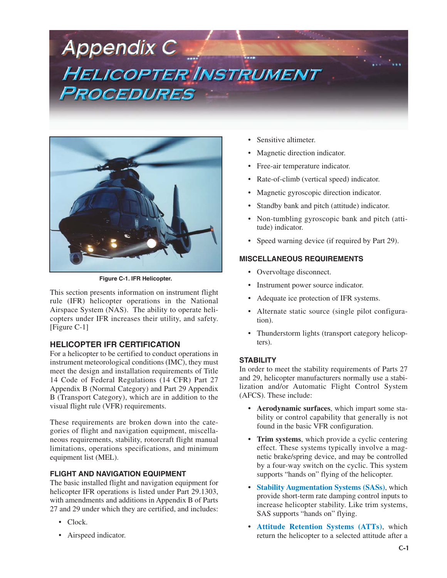# **Appendix C HELICOPTER INSTRUMENT** PROCEDURES



**Figure C-1. IFR Helicopter.**

This section presents information on instrument flight rule (IFR) helicopter operations in the National Airspace System (NAS). The ability to operate helicopters under IFR increases their utility, and safety. [Figure C-1]

# **HELICOPTER IFR CERTIFICATION**

For a helicopter to be certified to conduct operations in instrument meteorological conditions (IMC), they must meet the design and installation requirements of Title 14 Code of Federal Regulations (14 CFR) Part 27 Appendix B (Normal Category) and Part 29 Appendix B (Transport Category), which are in addition to the visual flight rule (VFR) requirements.

These requirements are broken down into the categories of flight and navigation equipment, miscellaneous requirements, stability, rotorcraft flight manual limitations, operations specifications, and minimum equipment list (MEL).

# **FLIGHT AND NAVIGATION EQUIPMENT**

The basic installed flight and navigation equipment for helicopter IFR operations is listed under Part 29.1303, with amendments and additions in Appendix B of Parts 27 and 29 under which they are certified, and includes:

- Clock.
- Airspeed indicator.
- Sensitive altimeter.
- Magnetic direction indicator.
- Free-air temperature indicator.
- Rate-of-climb (vertical speed) indicator.
- Magnetic gyroscopic direction indicator.
- Standby bank and pitch (attitude) indicator.
- Non-tumbling gyroscopic bank and pitch (attitude) indicator.
- Speed warning device (if required by Part 29).

# **MISCELLANEOUS REQUIREMENTS**

- Overvoltage disconnect.
- Instrument power source indicator.
- Adequate ice protection of IFR systems.
- Alternate static source (single pilot configuration).
- Thunderstorm lights (transport category helicopters).

# **STABILITY**

In order to meet the stability requirements of Parts 27 and 29, helicopter manufacturers normally use a stabilization and/or Automatic Flight Control System (AFCS). These include:

- **Aerodynamic surfaces**, which impart some stability or control capability that generally is not found in the basic VFR configuration.
- **Trim systems**, which provide a cyclic centering effect. These systems typically involve a magnetic brake/spring device, and may be controlled by a four-way switch on the cyclic. This system supports "hands on" flying of the helicopter.
- **• Stability Augmentation Systems (SASs)**, which provide short-term rate damping control inputs to increase helicopter stability. Like trim systems, SAS supports "hands on" flying.
- **• Attitude Retention Systems (ATTs)**, which return the helicopter to a selected attitude after a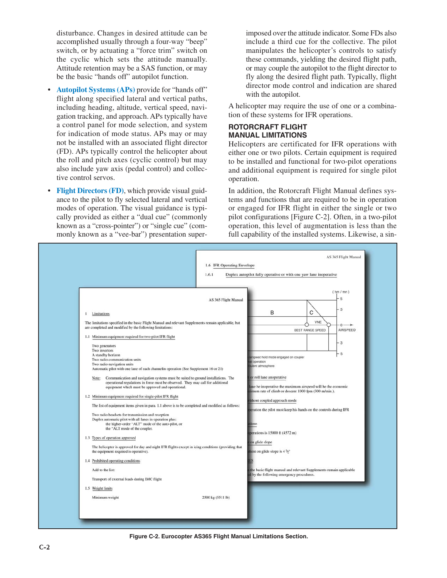disturbance. Changes in desired attitude can be accomplished usually through a four-way "beep" switch, or by actuating a "force trim" switch on the cyclic which sets the attitude manually. Attitude retention may be a SAS function, or may be the basic "hands off" autopilot function.

- **• Autopilot Systems (APs)** provide for "hands off" flight along specified lateral and vertical paths, including heading, altitude, vertical speed, navigation tracking, and approach. APs typically have a control panel for mode selection, and system for indication of mode status. APs may or may not be installed with an associated flight director (FD). APs typically control the helicopter about the roll and pitch axes (cyclic control) but may also include yaw axis (pedal control) and collective control servos.
- **• Flight Directors (FD)**, which provide visual guidance to the pilot to fly selected lateral and vertical modes of operation. The visual guidance is typically provided as either a "dual cue" (commonly known as a "cross-pointer") or "single cue" (commonly known as a "vee-bar") presentation super-

imposed over the attitude indicator. Some FDs also include a third cue for the collective. The pilot manipulates the helicopter's controls to satisfy these commands, yielding the desired flight path, or may couple the autopilot to the flight director to fly along the desired flight path. Typically, flight director mode control and indication are shared with the autopilot.

A helicopter may require the use of one or a combination of these systems for IFR operations.

#### **ROTORCRAFT FLIGHT MANUAL LIMITATIONS**

Helicopters are certificated for IFR operations with either one or two pilots. Certain equipment is required to be installed and functional for two-pilot operations and additional equipment is required for single pilot operation.

In addition, the Rotorcraft Flight Manual defines systems and functions that are required to be in operation or engaged for IFR flight in either the single or two pilot configurations [Figure C-2]. Often, in a two-pilot operation, this level of augmentation is less than the full capability of the installed systems. Likewise, a sin-



**Figure C-2. Eurocopter AS365 Flight Manual Limitations Section.**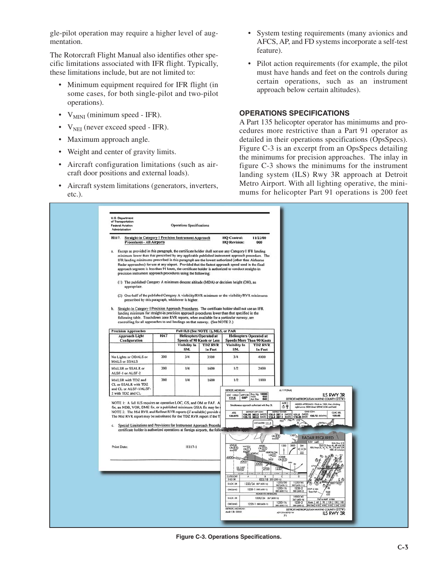gle-pilot operation may require a higher level of augmentation.

The Rotorcraft Flight Manual also identifies other specific limitations associated with IFR flight. Typically, these limitations include, but are not limited to:

- Minimum equipment required for IFR flight (in some cases, for both single-pilot and two-pilot operations).
- $V_{MINI}$  (minimum speed IFR).
- $V_{\text{NEI}}$  (never exceed speed IFR).
- Maximum approach angle.
- Weight and center of gravity limits.
- Aircraft configuration limitations (such as aircraft door positions and external loads).
- Aircraft system limitations (generators, inverters, etc.).
- System testing requirements (many avionics and AFCS, AP, and FD systems incorporate a self-test feature).
- Pilot action requirements (for example, the pilot must have hands and feet on the controls during certain operations, such as an instrument approach below certain altitudes).

# **OPERATIONS SPECIFICATIONS**

A Part 135 helicopter operator has minimums and procedures more restrictive than a Part 91 operator as detailed in their operations specifications (OpsSpecs). Figure C-3 is an excerpt from an OpsSpecs detailing the minimums for precision approaches. The inlay in figure C-3 shows the minimums for the instrument landing system (ILS) Rwy 3R approach at Detroit Metro Airport. With all lighting operative, the minimums for helicopter Part 91 operations is 200 feet

| Administration<br>H117. Straight-in Category I Precision Instrument Approach                                                                                                                                                                                                                                                                                                                                                                                                                                                                                                                                                                                                                                                                                                                                                                                                                                                                                                                                                                                                                                            |                                                    | <b>Operations Specifications</b>                   |                                                  | <b>HQ Control:</b>                                                                        | 11/22/00                                                                                              |                                                                                                                                       |                                                                                                                                                                                                             |                           |
|-------------------------------------------------------------------------------------------------------------------------------------------------------------------------------------------------------------------------------------------------------------------------------------------------------------------------------------------------------------------------------------------------------------------------------------------------------------------------------------------------------------------------------------------------------------------------------------------------------------------------------------------------------------------------------------------------------------------------------------------------------------------------------------------------------------------------------------------------------------------------------------------------------------------------------------------------------------------------------------------------------------------------------------------------------------------------------------------------------------------------|----------------------------------------------------|----------------------------------------------------|--------------------------------------------------|-------------------------------------------------------------------------------------------|-------------------------------------------------------------------------------------------------------|---------------------------------------------------------------------------------------------------------------------------------------|-------------------------------------------------------------------------------------------------------------------------------------------------------------------------------------------------------------|---------------------------|
| <b>Procedures - All Airports</b>                                                                                                                                                                                                                                                                                                                                                                                                                                                                                                                                                                                                                                                                                                                                                                                                                                                                                                                                                                                                                                                                                        |                                                    |                                                    |                                                  | <b>HQ Revision:</b>                                                                       | 000                                                                                                   |                                                                                                                                       |                                                                                                                                                                                                             |                           |
| a. Except as provided in this paragraph, the certificate holder shall not use any Category I IFR landing<br>minimum lower than that prescribed by any applicable published instrument approach procedure. The<br>IFR landing minimums prescribed in this paragraph are the lowest authorized (other than Airborne<br>Radar approaches) for use at any airport. Provided that the fastest approach speed used in the final<br>approach segment is less than 91 knots, the certificate holder is authorized to conduct straight-in<br>precision instrument approach procedures using the following:<br>(1) The published Category A minimum descent altitude (MDA) or decision height (DH), as<br>appropriate.<br>(2) One-half of the published Category A visibility/RVR minimum or the visibility/RVR minimums<br>Straight-In Category I Precision Approach Procedures. The certificate holder shall not use an IFR<br>Ъ.<br>landing minimum for straight-in precision approach procedures lower than that specified in the<br>following table. Touchdown zone RVR reports, when available for a particular runway, are | prescribed by this paragraph, whichever is higher. |                                                    |                                                  |                                                                                           |                                                                                                       |                                                                                                                                       |                                                                                                                                                                                                             |                           |
| controlling for all approaches to and landings on that runway. (See NOTE 2.)                                                                                                                                                                                                                                                                                                                                                                                                                                                                                                                                                                                                                                                                                                                                                                                                                                                                                                                                                                                                                                            |                                                    |                                                    |                                                  |                                                                                           |                                                                                                       |                                                                                                                                       |                                                                                                                                                                                                             |                           |
| <b>Precision Approaches</b>                                                                                                                                                                                                                                                                                                                                                                                                                                                                                                                                                                                                                                                                                                                                                                                                                                                                                                                                                                                                                                                                                             |                                                    | Full ILS (See NOTE 1), MLS, or PAR                 |                                                  |                                                                                           |                                                                                                       |                                                                                                                                       |                                                                                                                                                                                                             |                           |
| <b>Approach Light</b><br>Configuration                                                                                                                                                                                                                                                                                                                                                                                                                                                                                                                                                                                                                                                                                                                                                                                                                                                                                                                                                                                                                                                                                  | <b>HAT</b>                                         | <b>Speeds of 90 Knots or Less</b><br>Visibility In | <b>Helicopters Operated at</b><br><b>TDZ RVR</b> | <b>Visibility In</b>                                                                      | <b>Helicopters Operated at</b><br><b>Speeds More Than 90 Knots</b><br><b>TDZ RVR</b>                  |                                                                                                                                       |                                                                                                                                                                                                             |                           |
| No Lights or ODALS or<br><b>MALS or SSALS</b>                                                                                                                                                                                                                                                                                                                                                                                                                                                                                                                                                                                                                                                                                                                                                                                                                                                                                                                                                                                                                                                                           | 200                                                | SM.<br>3/4                                         | In Feet<br>3500                                  | SM.<br>3/4                                                                                | In Feet<br>4000                                                                                       |                                                                                                                                       |                                                                                                                                                                                                             |                           |
| <b>MALSR or SSALR or</b><br>ALSF-1 or ALSF-2                                                                                                                                                                                                                                                                                                                                                                                                                                                                                                                                                                                                                                                                                                                                                                                                                                                                                                                                                                                                                                                                            | 200                                                | 1/4                                                | 1600                                             | 1/2                                                                                       | 2400                                                                                                  |                                                                                                                                       |                                                                                                                                                                                                             |                           |
| MALSR with TDZ and<br>CL or SSALR with TDZ<br>and CL or ALSF-1/ALSF-<br>2 with TDZ and CL                                                                                                                                                                                                                                                                                                                                                                                                                                                                                                                                                                                                                                                                                                                                                                                                                                                                                                                                                                                                                               | 200                                                | 1/4                                                | 1600                                             | 1/2<br>DETROIT, MICHIGAN                                                                  | 1800                                                                                                  | AL-119 (FAA)                                                                                                                          |                                                                                                                                                                                                             | <b>ILS RWY 3R</b>         |
| NOTE 1: A full ILS requires an operative LOC, GS, and OM or FAF. A<br>fix, an NDB, VOR, DME fix, or a published minimum GSIA fix may be<br>NOTE 2: The Mid RVR and Rollout RVR reports (if available) provide a<br>The Mid RVR report may be substituted for the TDZ RVR report if the T<br>c. Special Limitations and Provisions for Instrument Approach Procedu<br>certificate holder is authorized operations at foreign airports, the following criteria ap                                                                                                                                                                                                                                                                                                                                                                                                                                                                                                                                                                                                                                                         |                                                    |                                                    |                                                  | LOC I-HUU APP CRS Rwy Idg 10000<br>111.5 035 <sup>0</sup> Apt Elev 640<br>ATIS<br>133.675 | and with Rwy 31<br>DETROIT APP CON<br>124.05 363.2 (MEST)<br><b>LOCALIZER 111.5</b><br>u II.          | $A15F-2$<br>の甲<br><b>METRO TOWER</b><br>135.0 287.1 (MEST)<br>$\frac{774}{\Lambda}$<br>796<br>953<br><b>CREED</b>                     | DETROIT METROPOLITAN WAYNE COUNTY (DTW)<br>MISSED APPROACH: Climb to 1300, then climbing<br>right turn to 3000 direct SPENC LOM and hold<br>GND CON<br>121.8 (WEST) 132.72 (SOUTH)<br><b>RADAR REQUIRED</b> | <b>CLNC DEL</b><br>120.65 |
| <b>Print Date:</b>                                                                                                                                                                                                                                                                                                                                                                                                                                                                                                                                                                                                                                                                                                                                                                                                                                                                                                                                                                                                                                                                                                      |                                                    | H117-1                                             |                                                  | <b>WATCH</b><br>CRL<br>$\overbrace{\text{max}}$<br>5000+035<br>4000<br>GS 3.00*           | $\begin{array}{c}\nABDE5 \\ CH(29) \\ BADM4\n\end{array}$<br><b>HURON OM</b><br>ORTAC<br>2632<br>2700 | 1300<br>3000<br>DM<br>$\leq$ 0<br>222<br><b>HOOS</b><br>OR[8.5]<br>122                                                                | <b>ELEV 640</b><br>TDZ/CLR                                                                                                                                                                                  | <b>RAIL Rwy 21</b>        |
|                                                                                                                                                                                                                                                                                                                                                                                                                                                                                                                                                                                                                                                                                                                                                                                                                                                                                                                                                                                                                                                                                                                         |                                                    |                                                    |                                                  | CATEGORY<br>5-ILS 3R<br>5-LOC 3R<br>CIRCUNG<br>\$400.38                                   | 833/18 20<br>1220/24 587 (600-h)<br>1220-1 580 (600-1)<br><b>HOKKE FIX MB</b><br>1000/24 367 (400-7s) | 1220/60<br>1220/50<br>587 (600-11<br>587 (600-116)<br>$1220 - 112$<br>1220-2<br>580 (600-11)<br>580 (600-2)<br>1000/40<br>367 (400-W) | 035° 6 NM<br>firms FAF<br>mas<br>FAF IN MAP A NM.                                                                                                                                                           |                           |

**Figure C-3. Operations Specifications.**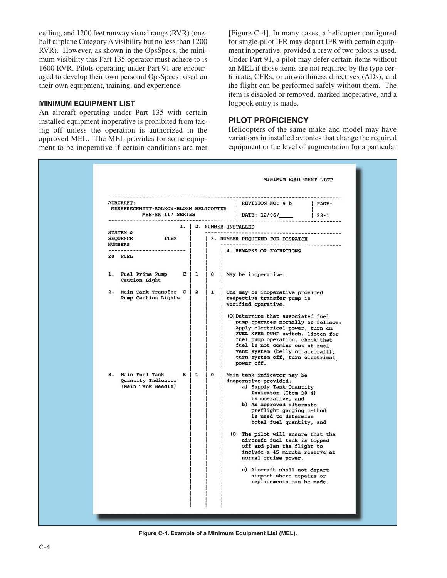ceiling, and 1200 feet runway visual range (RVR) (onehalf airplane Category A visibility but no less than 1200 RVR). However, as shown in the OpsSpecs, the minimum visibility this Part 135 operator must adhere to is 1600 RVR. Pilots operating under Part 91 are encouraged to develop their own personal OpsSpecs based on their own equipment, training, and experience.

#### **MINIMUM EQUIPMENT LIST**

An aircraft operating under Part 135 with certain installed equipment inoperative is prohibited from taking off unless the operation is authorized in the approved MEL. The MEL provides for some equipment to be inoperative if certain conditions are met [Figure C-4]. In many cases, a helicopter configured for single-pilot IFR may depart IFR with certain equipment inoperative, provided a crew of two pilots is used. Under Part 91, a pilot may defer certain items without an MEL if those items are not required by the type certificate, CFRs, or airworthiness directives (ADs), and the flight can be performed safely without them. The item is disabled or removed, marked inoperative, and a logbook entry is made.

# **PILOT PROFICIENCY**

Helicopters of the same make and model may have variations in installed avionics that change the required equipment or the level of augmentation for a particular

| AIRCRAFT:<br>MESSERSCHMITT-BOLKOW-BLOHM HELICOPTER                                                                                                                                                                                                                                                                        |
|---------------------------------------------------------------------------------------------------------------------------------------------------------------------------------------------------------------------------------------------------------------------------------------------------------------------------|
| MBB-BK 117 SERIES   DATE: 12/06/______   28-1<br>1.   2. NUMBER INSTALLED<br>SYSTEM &<br><b>ITEM</b><br><b>SEQUENCE</b><br>------------------------- 1<br>1. Fuel Prime Pump C   1   0   May be inoperative.<br>Caution Light<br>2. Main Tank Transfer C   2   1   One may be inoperative provided<br>Pump Caution Lights |
| $B \mid 1 \mid 0$                                                                                                                                                                                                                                                                                                         |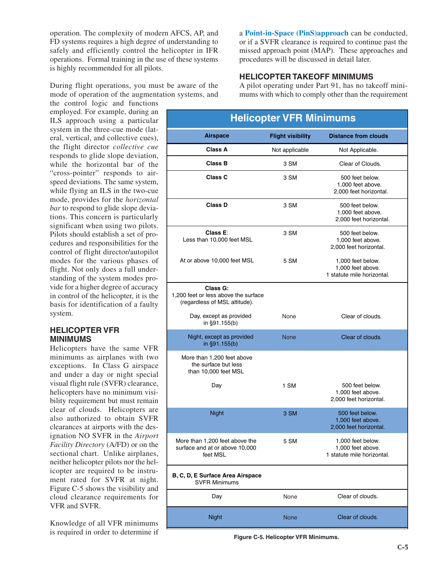operation. The complexity of modern AFCS, AP, and FD systems requires a high degree of understanding to safely and efficiently control the helicopter in IFR operations. Formal training in the use of these systems is highly recommended for all pilots.

During flight operations, you must be aware of the mode of operation of the augmentation systems, and

the control logic and functions employed. For example, during an ILS approach using a particular system in the three-cue mode (lateral, vertical, and collective cues), the flight director *collective cue* responds to glide slope deviation, while the horizontal bar of the "cross-pointer" responds to airspeed deviations. The same system, while flying an ILS in the two-cue mode, provides for the *horizontal bar* to respond to glide slope deviations. This concern is particularly significant when using two pilots. Pilots should establish a set of procedures and responsibilities for the control of flight director/autopilot modes for the various phases of flight. Not only does a full understanding of the system modes provide for a higher degree of accuracy in control of the helicopter, it is the basis for identification of a faulty system.

# **HELICOPTER VFR MINIMUMS**

Helicopters have the same VFR minimums as airplanes with two exceptions. In Class G airspace and under a day or night special visual flight rule (SVFR) clearance, helicopters have no minimum visibility requirement but must remain clear of clouds. Helicopters are also authorized to obtain SVFR clearances at airports with the designation NO SVFR in the *Airport Facility Directory* (A/FD) or on the sectional chart. Unlike airplanes, neither helicopter pilots nor the helicopter are required to be instrument rated for SVFR at night. Figure C-5 shows the visibility and cloud clearance requirements for VFR and SVFR.

Knowledge of all VFR minimums is required in order to determine if a **Point-in-Space (PinS)approach** can be conducted, or if a SVFR clearance is required to continue past the missed approach point (MAP). These approaches and procedures will be discussed in detail later.

# **HELICOPTER TAKEOFF MINIMUMS**

A pilot operating under Part 91, has no takeoff minimums with which to comply other than the requirement

# **Helicopter VFR Minimums**

| <b>Airspace</b>                                                                   | <b>Flight visibility</b> | <b>Distance from clouds</b>                                          |
|-----------------------------------------------------------------------------------|--------------------------|----------------------------------------------------------------------|
| <b>Class A</b>                                                                    | Not applicable           | Not Applicable.                                                      |
| <b>Class B</b>                                                                    | 3 SM                     | Clear of Clouds.                                                     |
| Class C                                                                           | 3 SM                     | 500 feet below.<br>1,000 feet above.<br>2,000 feet horizontal.       |
| <b>Class D</b>                                                                    | 3 SM                     | 500 feet below.<br>1,000 feet above.<br>2,000 feet horizontal.       |
| Class E:<br>Less than 10,000 feet MSL                                             | 3 SM                     | 500 feet below.<br>1,000 feet above.<br>2,000 feet horizontal.       |
| At or above 10,000 feet MSL                                                       | 5 SM                     | 1,000 feet below.<br>1,000 feet above.<br>1 statute mile horizontal. |
| Class G:<br>1,200 feet or less above the surface<br>(regardless of MSL altitude). |                          |                                                                      |
| Day, except as provided<br>in §91.155(b)                                          | None                     | Clear of clouds.                                                     |
| Night, except as provided<br>in §91.155(b)                                        | <b>None</b>              | Clear of clouds.                                                     |
| More than 1,200 feet above<br>the surface but less<br>than 10,000 feet MSL        |                          |                                                                      |
| Day                                                                               | 1 SM                     | 500 feet below.<br>1,000 feet above.<br>2,000 feet horizontal.       |
| <b>Night</b>                                                                      | 3 SM                     | 500 feet below.<br>1,000 feet above.<br>2,000 feet horizontal.       |
| More than 1,200 feet above the<br>surface and at or above 10,000<br>feet MSL      | 5 SM                     | 1,000 feet below.<br>1.000 feet above.<br>1 statute mile horizontal. |
| B, C, D, E Surface Area Airspace<br><b>SVFR Minimums</b>                          |                          |                                                                      |
| Day                                                                               | None                     | Clear of clouds.                                                     |
| <b>Night</b>                                                                      | <b>None</b>              | Clear of clouds.                                                     |
|                                                                                   |                          |                                                                      |

**Figure C-5. Helicopter VFR Minimums.**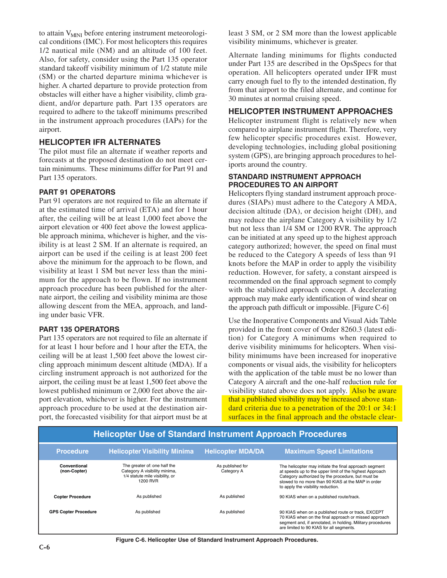to attain V<sub>MINI</sub> before entering instrument meteorological conditions (IMC). For most helicopters this requires 1/2 nautical mile (NM) and an altitude of 100 feet. Also, for safety, consider using the Part 135 operator standard takeoff visibility minimum of 1/2 statute mile (SM) or the charted departure minima whichever is higher. A charted departure to provide protection from obstacles will either have a higher visibility, climb gradient, and/or departure path. Part 135 operators are required to adhere to the takeoff minimums prescribed in the instrument approach procedures (IAPs) for the airport.

# **HELICOPTER IFR ALTERNATES**

The pilot must file an alternate if weather reports and forecasts at the proposed destination do not meet certain minimums. These minimums differ for Part 91 and Part 135 operators.

#### **PART 91 OPERATORS**

Part 91 operators are not required to file an alternate if at the estimated time of arrival (ETA) and for 1 hour after, the ceiling will be at least 1,000 feet above the airport elevation or 400 feet above the lowest applicable approach minima, whichever is higher, and the visibility is at least 2 SM. If an alternate is required, an airport can be used if the ceiling is at least 200 feet above the minimum for the approach to be flown, and visibility at least 1 SM but never less than the minimum for the approach to be flown. If no instrument approach procedure has been published for the alternate airport, the ceiling and visibility minima are those allowing descent from the MEA, approach, and landing under basic VFR.

#### **PART 135 OPERATORS**

Part 135 operators are not required to file an alternate if for at least 1 hour before and 1 hour after the ETA, the ceiling will be at least 1,500 feet above the lowest circling approach minimum descent altitude (MDA). If a circling instrument approach is not authorized for the airport, the ceiling must be at least 1,500 feet above the lowest published minimum or 2,000 feet above the airport elevation, whichever is higher. For the instrument approach procedure to be used at the destination airport, the forecasted visibility for that airport must be at least 3 SM, or 2 SM more than the lowest applicable visibility minimums, whichever is greater.

Alternate landing minimums for flights conducted under Part 135 are described in the OpsSpecs for that operation. All helicopters operated under IFR must carry enough fuel to fly to the intended destination, fly from that airport to the filed alternate, and continue for 30 minutes at normal cruising speed.

#### **HELICOPTER INSTRUMENT APPROACHES**

Helicopter instrument flight is relatively new when compared to airplane instrument flight. Therefore, very few helicopter specific procedures exist. However, developing technologies, including global positioning system (GPS), are bringing approach procedures to heliports around the country.

#### **STANDARD INSTRUMENT APPROACH PROCEDURES TO AN AIRPORT**

Helicopters flying standard instrument approach procedures (SIAPs) must adhere to the Category A MDA, decision altitude (DA), or decision height (DH), and may reduce the airplane Category A visibility by 1/2 but not less than 1/4 SM or 1200 RVR. The approach can be initiated at any speed up to the highest approach category authorized; however, the speed on final must be reduced to the Category A speeds of less than 91 knots before the MAP in order to apply the visibility reduction. However, for safety, a constant airspeed is recommended on the final approach segment to comply with the stabilized approach concept. A decelerating approach may make early identification of wind shear on the approach path difficult or impossible. [Figure C-6]

Use the Inoperative Components and Visual Aids Table provided in the front cover of Order 8260.3 (latest edition) for Category A minimums when required to derive visibility minimums for helicopters. When visibility minimums have been increased for inoperative components or visual aids, the visibility for helicopters with the application of the table must be no lower than Category A aircraft and the one-half reduction rule for visibility stated above does not apply. Also be aware that a published visibility may be increased above standard criteria due to a penetration of the 20:1 or 34:1 surfaces in the final approach and the obstacle clear-

| <b>Helicopter Use of Standard Instrument Approach Procedures</b> |                                                                                                              |                                |                                                                                                                                                                                                                                                                    |  |  |  |  |  |  |
|------------------------------------------------------------------|--------------------------------------------------------------------------------------------------------------|--------------------------------|--------------------------------------------------------------------------------------------------------------------------------------------------------------------------------------------------------------------------------------------------------------------|--|--|--|--|--|--|
| <b>Procedure</b>                                                 | <b>Helicopter Visibility Minima</b>                                                                          | <b>Helicopter MDA/DA</b>       | <b>Maximum Speed Limitations</b>                                                                                                                                                                                                                                   |  |  |  |  |  |  |
| Conventional<br>(non-Copter)                                     | The greater of: one half the<br>Category A visibility minima,<br>1/4 statute mile visibility, or<br>1200 RVR | As published for<br>Category A | The helicopter may initiate the final approach segment<br>at speeds up to the upper limit of the highest Approach<br>Category authorized by the procedure, but must be<br>slowed to no more than 90 KIAS at the MAP in order<br>to apply the visibility reduction. |  |  |  |  |  |  |
| <b>Copter Procedure</b>                                          | As published                                                                                                 | As published                   | 90 KIAS when on a published route/track.                                                                                                                                                                                                                           |  |  |  |  |  |  |
| <b>GPS Copter Procedure</b>                                      | As published                                                                                                 | As published                   | 90 KIAS when on a published route or track, EXCEPT<br>70 KIAS when on the final approach or missed approach<br>segment and, if annotated, in holding. Military procedures<br>are limited to 90 KIAS for all segments.                                              |  |  |  |  |  |  |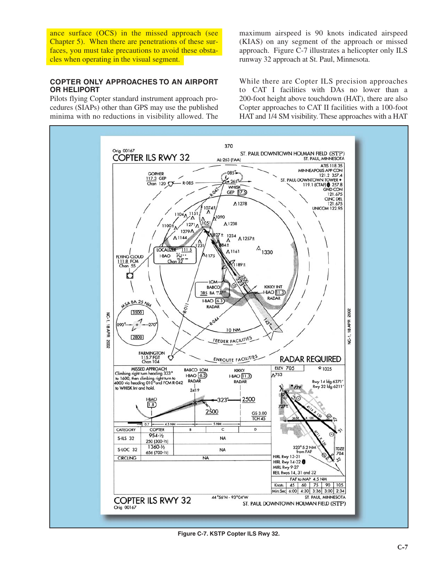ance surface (OCS) in the missed approach (see Chapter 5). When there are penetrations of these surfaces, you must take precautions to avoid these obstacles when operating in the visual segment.

# **COPTER ONLY APPROACHES TO AN AIRPORT OR HELIPORT**

Pilots flying Copter standard instrument approach procedures (SIAPs) other than GPS may use the published minima with no reductions in visibility allowed. The maximum airspeed is 90 knots indicated airspeed (KIAS) on any segment of the approach or missed approach. Figure C-7 illustrates a helicopter only ILS runway 32 approach at St. Paul, Minnesota.

While there are Copter ILS precision approaches to CAT I facilities with DAs no lower than a 200-foot height above touchdown (HAT), there are also Copter approaches to CAT II facilities with a 100-foot HAT and 1/4 SM visibility. These approaches with a HAT



**Figure C-7. KSTP Copter ILS Rwy 32.**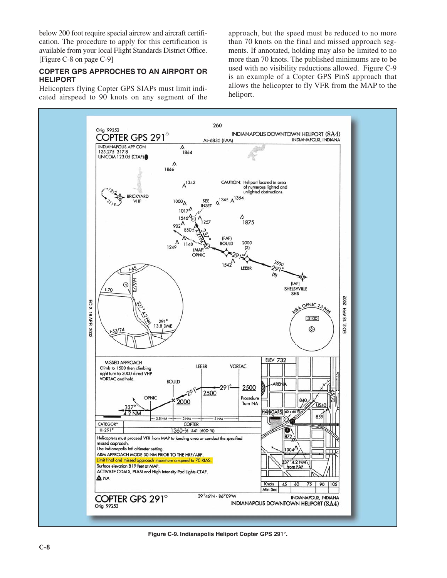below 200 foot require special aircrew and aircraft certification. The procedure to apply for this certification is available from your local Flight Standards District Office. [Figure C-8 on page C-9]

#### **COPTER GPS APPROCHES TO AN AIRPORT OR HELIPORT**

Helicopters flying Copter GPS SIAPs must limit indicated airspeed to 90 knots on any segment of the approach, but the speed must be reduced to no more than 70 knots on the final and missed approach segments. If annotated, holding may also be limited to no more than 70 knots. The published minimums are to be used with no visibility reductions allowed. Figure C-9 is an example of a Copter GPS PinS approach that allows the helicopter to fly VFR from the MAP to the heliport.



**Figure C-9. Indianapolis Heliport Copter GPS 291°.**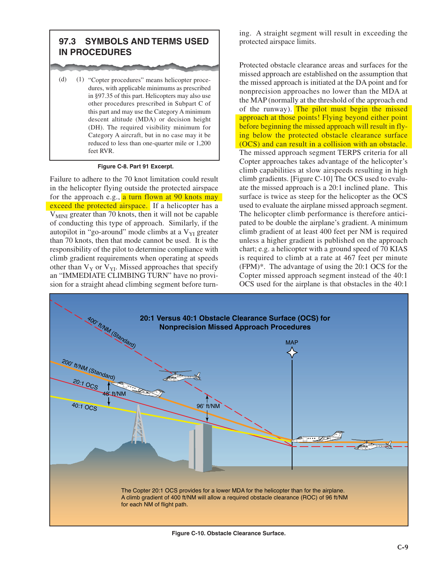# **97.3 SYMBOLS AND TERMS USED IN PROCEDURES**

(d) (1) "Copter procedures" means helicopter procedures, with applicable minimums as prescribed in §97.35 of this part. Helicopters may also use other procedures prescribed in Subpart C of this part and may use the Category A minimum descent altitude (MDA) or decision height (DH). The required visibility minimum for Category A aircraft, but in no case may it be reduced to less than one-quarter mile or 1,200 feet RVR.

#### **Figure C-8. Part 91 Excerpt.**

Failure to adhere to the 70 knot limitation could result in the helicopter flying outside the protected airspace for the approach e.g., a turn flown at 90 knots may exceed the protected airspace. If a helicopter has a  $V<sub>MINI</sub>$  greater than 70 knots, then it will not be capable of conducting this type of approach. Similarly, if the autopilot in "go-around" mode climbs at a  $V_{\text{YI}}$  greater than 70 knots, then that mode cannot be used. It is the responsibility of the pilot to determine compliance with climb gradient requirements when operating at speeds other than  $V_Y$  or  $V_{YI}$ . Missed approaches that specify an "IMMEDIATE CLIMBING TURN" have no provision for a straight ahead climbing segment before turning. A straight segment will result in exceeding the protected airspace limits.

Protected obstacle clearance areas and surfaces for the missed approach are established on the assumption that the missed approach is initiated at the DA point and for nonprecision approaches no lower than the MDA at the MAP (normally at the threshold of the approach end of the runway). The pilot must begin the missed approach at those points! Flying beyond either point before beginning the missed approach will result in flying below the protected obstacle clearance surface (OCS) and can result in a collision with an obstacle. The missed approach segment TERPS criteria for all Copter approaches takes advantage of the helicopter's climb capabilities at slow airspeeds resulting in high climb gradients. [Figure C-10] The OCS used to evaluate the missed approach is a 20:1 inclined plane. This surface is twice as steep for the helicopter as the OCS used to evaluate the airplane missed approach segment. The helicopter climb performance is therefore anticipated to be double the airplane's gradient. A minimum climb gradient of at least 400 feet per NM is required unless a higher gradient is published on the approach chart; e.g. a helicopter with a ground speed of 70 KIAS is required to climb at a rate at 467 feet per minute (FPM)\*. The advantage of using the 20:1 OCS for the Copter missed approach segment instead of the 40:1 OCS used for the airplane is that obstacles in the 40:1



**Figure C-10. Obstacle Clearance Surface.**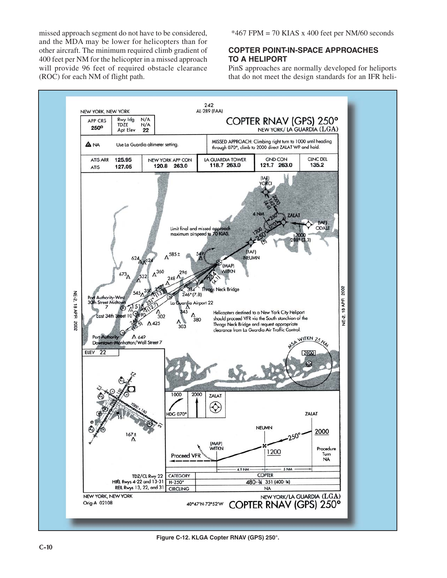missed approach segment do not have to be considered, and the MDA may be lower for helicopters than for other aircraft. The minimum required climb gradient of 400 feet per NM for the helicopter in a missed approach will provide 96 feet of required obstacle clearance (ROC) for each NM of flight path.

 $*467$  FPM = 70 KIAS x 400 feet per NM/60 seconds

# **COPTER POINT-IN-SPACE APPROACHES TO A HELIPORT**

PinS approaches are normally developed for heliports that do not meet the design standards for an IFR heli-



**Figure C-12. KLGA Copter RNAV (GPS) 250°.**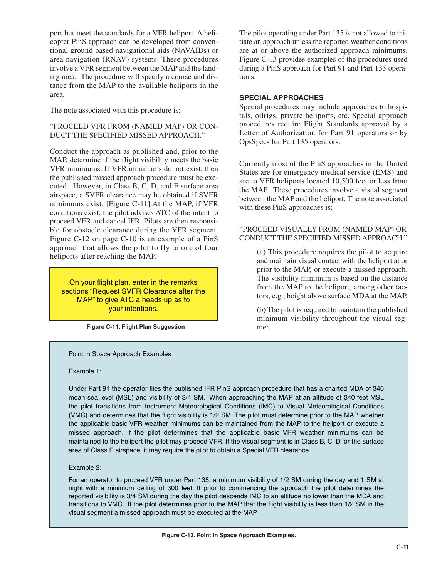port but meet the standards for a VFR heliport. A helicopter PinS approach can be developed from conventional ground based navigational aids (NAVAIDs) or area navigation (RNAV) systems. These procedures involve a VFR segment between the MAP and the landing area. The procedure will specify a course and distance from the MAP to the available heliports in the area.

The note associated with this procedure is:

#### "PROCEED VFR FROM (NAMED MAP) OR CON-DUCT THE SPECIFIED MISSED APPROACH."

Conduct the approach as published and, prior to the MAP, determine if the flight visibility meets the basic VFR minimums. If VFR minimums do not exist, then the published missed approach procedure must be executed. However, in Class B, C, D, and E surface area airspace, a SVFR clearance may be obtained if SVFR minimums exist. [Figure C-11] At the MAP, if VFR conditions exist, the pilot advises ATC of the intent to proceed VFR and cancel IFR. Pilots are then responsible for obstacle clearance during the VFR segment. Figure C-12 on page C-10 is an example of a PinS approach that allows the pilot to fly to one of four heliports after reaching the MAP.

On your flight plan, enter in the remarks sections "Request SVFR Clearance after the MAP" to give ATC a heads up as to your intentions.

**Figure C-11. Flight Plan Suggestion**

The pilot operating under Part 135 is not allowed to initiate an approach unless the reported weather conditions are at or above the authorized approach minimums. Figure C-13 provides examples of the procedures used during a PinS approach for Part 91 and Part 135 operations.

# **SPECIAL APPROACHES**

Special procedures may include approaches to hospitals, oilrigs, private heliports, etc. Special approach procedures require Flight Standards approval by a Letter of Authorization for Part 91 operators or by OpsSpecs for Part 135 operators.

Currently most of the PinS approaches in the United States are for emergency medical service (EMS) and are to VFR heliports located 10,500 feet or less from the MAP. These procedures involve a visual segment between the MAP and the heliport. The note associated with these PinS approaches is:

#### "PROCEED VISUALLY FROM (NAMED MAP) OR CONDUCT THE SPECIFIED MISSED APPROACH."

(a) This procedure requires the pilot to acquire and maintain visual contact with the heliport at or prior to the MAP, or execute a missed approach. The visibility minimum is based on the distance from the MAP to the heliport, among other factors, e.g., height above surface MDA at the MAP.

(b) The pilot is required to maintain the published minimum visibility throughout the visual segment.

Point in Space Approach Examples

Example 1:

Under Part 91 the operator flies the published IFR PinS approach procedure that has a charted MDA of 340 mean sea level (MSL) and visibility of 3/4 SM. When approaching the MAP at an altitude of 340 feet MSL the pilot transitions from Instrument Meteorological Conditions (IMC) to Visual Meteorological Conditions (VMC) and determines that the flight visibility is 1/2 SM. The pilot must determine prior to the MAP whether the applicable basic VFR weather minimums can be maintained from the MAP to the heliport or execute a missed approach. If the pilot determines that the applicable basic VFR weather minimums can be maintained to the heliport the pilot may proceed VFR. If the visual segment is in Class B, C, D, or the surface area of Class E airspace, it may require the pilot to obtain a Special VFR clearance.

Example 2:

For an operator to proceed VFR under Part 135, a minimum visibility of 1/2 SM during the day and 1 SM at night with a minimum ceiling of 300 feet. If prior to commencing the approach the pilot determines the reported visibility is 3/4 SM during the day the pilot descends IMC to an altitude no lower than the MDA and transitions to VMC. If the pilot determines prior to the MAP that the flight visibility is less than 1/2 SM in the visual segment a missed approach must be executed at the MAP.